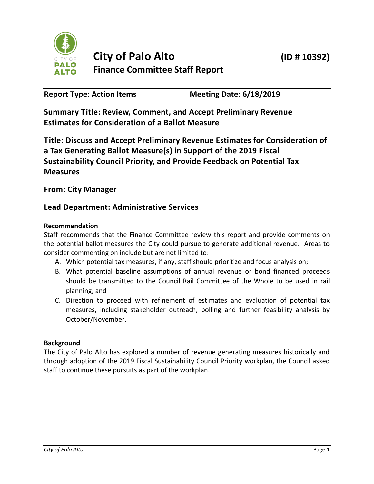

**Report Type: Action Items Meeting Date: 6/18/2019**

**Summary Title: Review, Comment, and Accept Preliminary Revenue Estimates for Consideration of a Ballot Measure**

**Title: Discuss and Accept Preliminary Revenue Estimates for Consideration of a Tax Generating Ballot Measure(s) in Support of the 2019 Fiscal Sustainability Council Priority, and Provide Feedback on Potential Tax Measures**

# **From: City Manager**

# **Lead Department: Administrative Services**

# **Recommendation**

Staff recommends that the Finance Committee review this report and provide comments on the potential ballot measures the City could pursue to generate additional revenue. Areas to consider commenting on include but are not limited to:

- A. Which potential tax measures, if any, staff should prioritize and focus analysis on;
- B. What potential baseline assumptions of annual revenue or bond financed proceeds should be transmitted to the Council Rail Committee of the Whole to be used in rail planning; and
- C. Direction to proceed with refinement of estimates and evaluation of potential tax measures, including stakeholder outreach, polling and further feasibility analysis by October/November.

# **Background**

The City of Palo Alto has explored a number of revenue generating measures historically and through adoption of the 2019 Fiscal Sustainability Council Priority workplan, the Council asked staff to continue these pursuits as part of the workplan.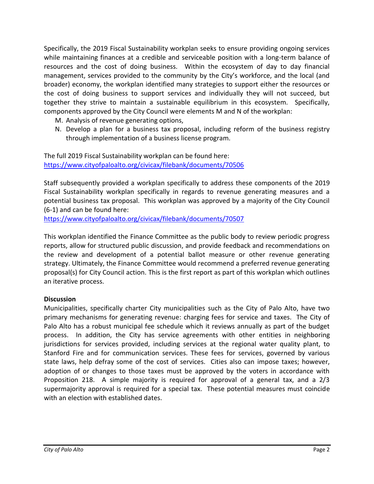Specifically, the 2019 Fiscal Sustainability workplan seeks to ensure providing ongoing services while maintaining finances at a credible and serviceable position with a long-term balance of resources and the cost of doing business. Within the ecosystem of day to day financial management, services provided to the community by the City's workforce, and the local (and broader) economy, the workplan identified many strategies to support either the resources or the cost of doing business to support services and individually they will not succeed, but together they strive to maintain a sustainable equilibrium in this ecosystem. Specifically, components approved by the City Council were elements M and N of the workplan:

- M. Analysis of revenue generating options,
- N. Develop a plan for a business tax proposal, including reform of the business registry through implementation of a business license program.

The full 2019 Fiscal Sustainability workplan can be found here: <https://www.cityofpaloalto.org/civicax/filebank/documents/70506>

Staff subsequently provided a workplan specifically to address these components of the 2019 Fiscal Sustainability workplan specifically in regards to revenue generating measures and a potential business tax proposal. This workplan was approved by a majority of the City Council (6-1) and can be found here:

<https://www.cityofpaloalto.org/civicax/filebank/documents/70507>

This workplan identified the Finance Committee as the public body to review periodic progress reports, allow for structured public discussion, and provide feedback and recommendations on the review and development of a potential ballot measure or other revenue generating strategy. Ultimately, the Finance Committee would recommend a preferred revenue generating proposal(s) for City Council action. This is the first report as part of this workplan which outlines an iterative process.

# **Discussion**

Municipalities, specifically charter City municipalities such as the City of Palo Alto, have two primary mechanisms for generating revenue: charging fees for service and taxes. The City of Palo Alto has a robust municipal fee schedule which it reviews annually as part of the budget process. In addition, the City has service agreements with other entities in neighboring jurisdictions for services provided, including services at the regional water quality plant, to Stanford Fire and for communication services. These fees for services, governed by various state laws, help defray some of the cost of services. Cities also can impose taxes; however, adoption of or changes to those taxes must be approved by the voters in accordance with Proposition 218. A simple majority is required for approval of a general tax, and a 2/3 supermajority approval is required for a special tax. These potential measures must coincide with an election with established dates.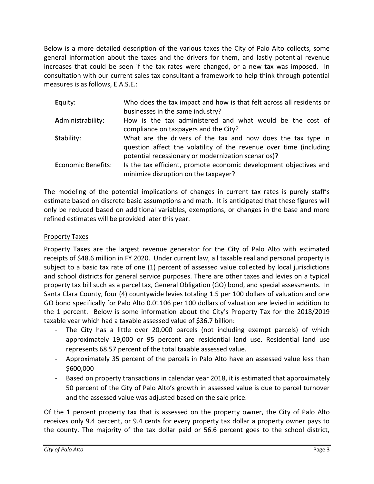Below is a more detailed description of the various taxes the City of Palo Alto collects, some general information about the taxes and the drivers for them, and lastly potential revenue increases that could be seen if the tax rates were changed, or a new tax was imposed. In consultation with our current sales tax consultant a framework to help think through potential measures is as follows, E.A.S.E.:

| Equity:                   | Who does the tax impact and how is that felt across all residents or<br>businesses in the same industry?                                                                                  |
|---------------------------|-------------------------------------------------------------------------------------------------------------------------------------------------------------------------------------------|
| Administrability:         | How is the tax administered and what would be the cost of<br>compliance on taxpayers and the City?                                                                                        |
| Stability:                | What are the drivers of the tax and how does the tax type in<br>question affect the volatility of the revenue over time (including<br>potential recessionary or modernization scenarios)? |
| <b>Economic Benefits:</b> | Is the tax efficient, promote economic development objectives and<br>minimize disruption on the taxpayer?                                                                                 |

The modeling of the potential implications of changes in current tax rates is purely staff's estimate based on discrete basic assumptions and math. It is anticipated that these figures will only be reduced based on additional variables, exemptions, or changes in the base and more refined estimates will be provided later this year.

# Property Taxes

Property Taxes are the largest revenue generator for the City of Palo Alto with estimated receipts of \$48.6 million in FY 2020. Under current law, all taxable real and personal property is subject to a basic tax rate of one (1) percent of assessed value collected by local jurisdictions and school districts for general service purposes. There are other taxes and levies on a typical property tax bill such as a parcel tax, General Obligation (GO) bond, and special assessments. In Santa Clara County, four (4) countywide levies totaling 1.5 per 100 dollars of valuation and one GO bond specifically for Palo Alto 0.01106 per 100 dollars of valuation are levied in addition to the 1 percent. Below is some information about the City's Property Tax for the 2018/2019 taxable year which had a taxable assessed value of \$36.7 billion:

- The City has a little over 20,000 parcels (not including exempt parcels) of which approximately 19,000 or 95 percent are residential land use. Residential land use represents 68.57 percent of the total taxable assessed value.
- Approximately 35 percent of the parcels in Palo Alto have an assessed value less than \$600,000
- Based on property transactions in calendar year 2018, it is estimated that approximately 50 percent of the City of Palo Alto's growth in assessed value is due to parcel turnover and the assessed value was adjusted based on the sale price.

Of the 1 percent property tax that is assessed on the property owner, the City of Palo Alto receives only 9.4 percent, or 9.4 cents for every property tax dollar a property owner pays to the county. The majority of the tax dollar paid or 56.6 percent goes to the school district,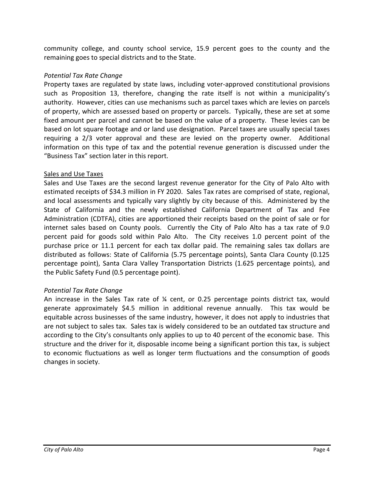community college, and county school service, 15.9 percent goes to the county and the remaining goes to special districts and to the State.

## *Potential Tax Rate Change*

Property taxes are regulated by state laws, including voter-approved constitutional provisions such as Proposition 13, therefore, changing the rate itself is not within a municipality's authority. However, cities can use mechanisms such as parcel taxes which are levies on parcels of property, which are assessed based on property or parcels. Typically, these are set at some fixed amount per parcel and cannot be based on the value of a property. These levies can be based on lot square footage and or land use designation. Parcel taxes are usually special taxes requiring a 2/3 voter approval and these are levied on the property owner. Additional information on this type of tax and the potential revenue generation is discussed under the "Business Tax" section later in this report.

### Sales and Use Taxes

Sales and Use Taxes are the second largest revenue generator for the City of Palo Alto with estimated receipts of \$34.3 million in FY 2020. Sales Tax rates are comprised of state, regional, and local assessments and typically vary slightly by city because of this. Administered by the State of California and the newly established California Department of Tax and Fee Administration (CDTFA), cities are apportioned their receipts based on the point of sale or for internet sales based on County pools. Currently the City of Palo Alto has a tax rate of 9.0 percent paid for goods sold within Palo Alto. The City receives 1.0 percent point of the purchase price or 11.1 percent for each tax dollar paid. The remaining sales tax dollars are distributed as follows: State of California (5.75 percentage points), Santa Clara County (0.125 percentage point), Santa Clara Valley Transportation Districts (1.625 percentage points), and the Public Safety Fund (0.5 percentage point).

# *Potential Tax Rate Change*

An increase in the Sales Tax rate of  $\frac{1}{4}$  cent, or 0.25 percentage points district tax, would generate approximately \$4.5 million in additional revenue annually. This tax would be equitable across businesses of the same industry, however, it does not apply to industries that are not subject to sales tax. Sales tax is widely considered to be an outdated tax structure and according to the City's consultants only applies to up to 40 percent of the economic base. This structure and the driver for it, disposable income being a significant portion this tax, is subject to economic fluctuations as well as longer term fluctuations and the consumption of goods changes in society.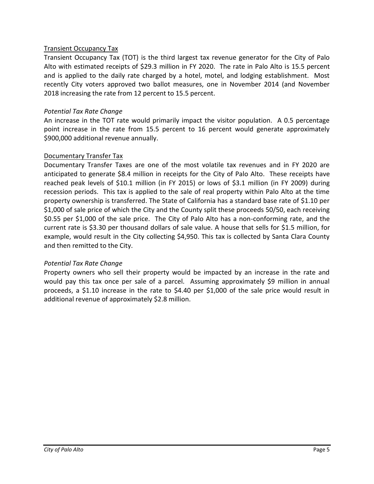## Transient Occupancy Tax

Transient Occupancy Tax (TOT) is the third largest tax revenue generator for the City of Palo Alto with estimated receipts of \$29.3 million in FY 2020. The rate in Palo Alto is 15.5 percent and is applied to the daily rate charged by a hotel, motel, and lodging establishment. Most recently City voters approved two ballot measures, one in November 2014 (and November 2018 increasing the rate from 12 percent to 15.5 percent.

## *Potential Tax Rate Change*

An increase in the TOT rate would primarily impact the visitor population. A 0.5 percentage point increase in the rate from 15.5 percent to 16 percent would generate approximately \$900,000 additional revenue annually.

### Documentary Transfer Tax

Documentary Transfer Taxes are one of the most volatile tax revenues and in FY 2020 are anticipated to generate \$8.4 million in receipts for the City of Palo Alto. These receipts have reached peak levels of \$10.1 million (in FY 2015) or lows of \$3.1 million (in FY 2009) during recession periods. This tax is applied to the sale of real property within Palo Alto at the time property ownership is transferred. The State of California has a standard base rate of \$1.10 per \$1,000 of sale price of which the City and the County split these proceeds 50/50, each receiving \$0.55 per \$1,000 of the sale price. The City of Palo Alto has a non-conforming rate, and the current rate is \$3.30 per thousand dollars of sale value. A house that sells for \$1.5 million, for example, would result in the City collecting \$4,950. This tax is collected by Santa Clara County and then remitted to the City.

# *Potential Tax Rate Change*

Property owners who sell their property would be impacted by an increase in the rate and would pay this tax once per sale of a parcel. Assuming approximately \$9 million in annual proceeds, a \$1.10 increase in the rate to \$4.40 per \$1,000 of the sale price would result in additional revenue of approximately \$2.8 million.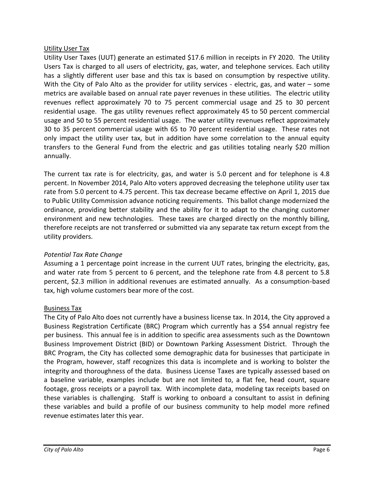# Utility User Tax

Utility User Taxes (UUT) generate an estimated \$17.6 million in receipts in FY 2020. The Utility Users Tax is charged to all users of electricity, gas, water, and telephone services. Each utility has a slightly different user base and this tax is based on consumption by respective utility. With the City of Palo Alto as the provider for utility services - electric, gas, and water – some metrics are available based on annual rate payer revenues in these utilities. The electric utility revenues reflect approximately 70 to 75 percent commercial usage and 25 to 30 percent residential usage. The gas utility revenues reflect approximately 45 to 50 percent commercial usage and 50 to 55 percent residential usage. The water utility revenues reflect approximately 30 to 35 percent commercial usage with 65 to 70 percent residential usage. These rates not only impact the utility user tax, but in addition have some correlation to the annual equity transfers to the General Fund from the electric and gas utilities totaling nearly \$20 million annually.

The current tax rate is for electricity, gas, and water is 5.0 percent and for telephone is 4.8 percent. In November 2014, Palo Alto voters approved decreasing the telephone utility user tax rate from 5.0 percent to 4.75 percent. This tax decrease became effective on April 1, 2015 due to Public Utility Commission advance noticing requirements. This ballot change modernized the ordinance, providing better stability and the ability for it to adapt to the changing customer environment and new technologies. These taxes are charged directly on the monthly billing, therefore receipts are not transferred or submitted via any separate tax return except from the utility providers.

# *Potential Tax Rate Change*

Assuming a 1 percentage point increase in the current UUT rates, bringing the electricity, gas, and water rate from 5 percent to 6 percent, and the telephone rate from 4.8 percent to 5.8 percent, \$2.3 million in additional revenues are estimated annually. As a consumption-based tax, high volume customers bear more of the cost.

### Business Tax

The City of Palo Alto does not currently have a business license tax. In 2014, the City approved a Business Registration Certificate (BRC) Program which currently has a \$54 annual registry fee per business. This annual fee is in addition to specific area assessments such as the Downtown Business Improvement District (BID) or Downtown Parking Assessment District. Through the BRC Program, the City has collected some demographic data for businesses that participate in the Program, however, staff recognizes this data is incomplete and is working to bolster the integrity and thoroughness of the data. Business License Taxes are typically assessed based on a baseline variable, examples include but are not limited to, a flat fee, head count, square footage, gross receipts or a payroll tax. With incomplete data, modeling tax receipts based on these variables is challenging. Staff is working to onboard a consultant to assist in defining these variables and build a profile of our business community to help model more refined revenue estimates later this year.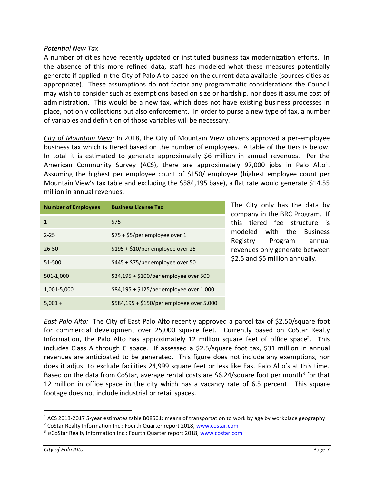## *Potential New Tax*

A number of cities have recently updated or instituted business tax modernization efforts. In the absence of this more refined data, staff has modeled what these measures potentially generate if applied in the City of Palo Alto based on the current data available (sources cities as appropriate). These assumptions do not factor any programmatic considerations the Council may wish to consider such as exemptions based on size or hardship, nor does it assume cost of administration. This would be a new tax, which does not have existing business processes in place, not only collections but also enforcement. In order to purse a new type of tax, a number of variables and definition of those variables will be necessary.

*City of Mountain View:* In 2018, the City of Mountain View citizens approved a per-employee business tax which is tiered based on the number of employees. A table of the tiers is below. In total it is estimated to generate approximately \$6 million in annual revenues. Per the American Community Survey (ACS), there are approximately 97,000 jobs in Palo Alto<sup>1</sup>. Assuming the highest per employee count of \$150/ employee (highest employee count per Mountain View's tax table and excluding the \$584,195 base), a flat rate would generate \$14.55 million in annual revenues.

| <b>Number of Employees</b> | <b>Business License Tax</b>               |
|----------------------------|-------------------------------------------|
| 1                          | \$75                                      |
| $2 - 25$                   | \$75 + \$5/per employee over 1            |
| 26-50                      | $$195 + $10/per$ employee over 25         |
| 51-500                     | \$445 + \$75/per employee over 50         |
| 501-1,000                  | $$34,195 + $100/per}$ employee over 500   |
| 1,001-5,000                | \$84,195 + \$125/per employee over 1,000  |
| $5,001 +$                  | \$584,195 + \$150/per employee over 5,000 |

The City only has the data by company in the BRC Program. If this tiered fee structure is modeled with the Business Registry Program annual revenues only generate between \$2.5 and \$5 million annually.

*East Palo Alto:* The City of East Palo Alto recently approved a parcel tax of \$2.50/square foot for commercial development over 25,000 square feet. Currently based on CoStar Realty Information, the Palo Alto has approximately 12 million square feet of office space<sup>2</sup>. This includes Class A through C space. If assessed a \$2.5/square foot tax, \$31 million in annual revenues are anticipated to be generated. This figure does not include any exemptions, nor does it adjust to exclude facilities 24,999 square feet or less like East Palo Alto's at this time. Based on the data from CoStar, average rental costs are \$6.24/square foot per month<sup>3</sup> for that 12 million in office space in the city which has a vacancy rate of 6.5 percent. This square footage does not include industrial or retail spaces.

 $\overline{a}$ 

<sup>1</sup> ACS 2013-2017 5-year estimates table B08501: means of transportation to work by age by workplace geography

<sup>2</sup> CoStar Realty Information Inc.: Fourth Quarter report 2018, www.costar.com

<sup>&</sup>lt;sup>3</sup> 15CoStar Realty Information Inc.: Fourth Quarter report 2018, www.costar.com